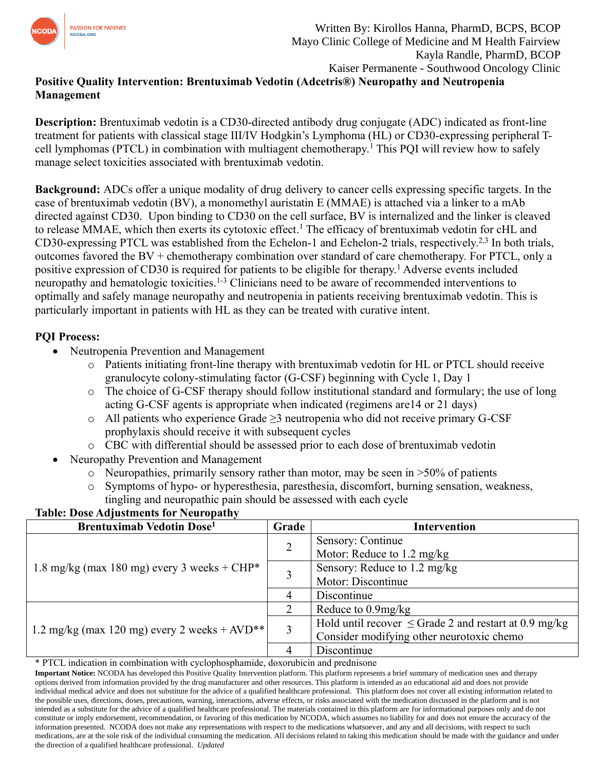

# **Positive Quality Intervention: Brentuximab Vedotin (Adcetris®) Neuropathy and Neutropenia Management**

**Description:** Brentuximab vedotin is a CD30-directed antibody drug conjugate (ADC) indicated as front-line treatment for patients with classical stage III/IV Hodgkin's Lymphoma (HL) or CD30-expressing peripheral Tcell lymphomas (PTCL) in combination with multiagent chemotherapy.<sup>1</sup> This PQI will review how to safely manage select toxicities associated with brentuximab vedotin.

**Background:** ADCs offer a unique modality of drug delivery to cancer cells expressing specific targets. In the case of brentuximab vedotin (BV), a monomethyl auristatin E (MMAE) is attached via a linker to a mAb directed against CD30. Upon binding to CD30 on the cell surface, BV is internalized and the linker is cleaved to release MMAE, which then exerts its cytotoxic effect.<sup>1</sup> The efficacy of brentuximab vedotin for cHL and CD30-expressing PTCL was established from the Echelon-1 and Echelon-2 trials, respectively.2,3 In both trials, outcomes favored the BV + chemotherapy combination over standard of care chemotherapy. For PTCL, only a positive expression of CD30 is required for patients to be eligible for therapy.<sup>1</sup> Adverse events included neuropathy and hematologic toxicities.<sup>1-3</sup> Clinicians need to be aware of recommended interventions to optimally and safely manage neuropathy and neutropenia in patients receiving brentuximab vedotin. This is particularly important in patients with HL as they can be treated with curative intent.

## **PQI Process:**

- Neutropenia Prevention and Management
	- o Patients initiating front-line therapy with brentuximab vedotin for HL or PTCL should receive granulocyte colony-stimulating factor (G-CSF) beginning with Cycle 1, Day 1
	- o The choice of G-CSF therapy should follow institutional standard and formulary; the use of long acting G-CSF agents is appropriate when indicated (regimens are14 or 21 days)
	- o All patients who experience Grade ≥3 neutropenia who did not receive primary G-CSF prophylaxis should receive it with subsequent cycles
	- o CBC with differential should be assessed prior to each dose of brentuximab vedotin
- Neuropathy Prevention and Management
	- $\circ$  Neuropathies, primarily sensory rather than motor, may be seen in  $>50\%$  of patients
	- o Symptoms of hypo- or hyperesthesia, paresthesia, discomfort, burning sensation, weakness, tingling and neuropathic pain should be assessed with each cycle

### **Table: Dose Adjustments for Neuropathy**

| <b>Brentuximab Vedotin Dose</b> <sup>1</sup>   | Grade          | <b>Intervention</b>                                        |
|------------------------------------------------|----------------|------------------------------------------------------------|
| 1.8 mg/kg (max 180 mg) every 3 weeks + CHP*    | $\overline{2}$ | Sensory: Continue                                          |
|                                                |                | Motor: Reduce to 1.2 mg/kg                                 |
|                                                |                | Sensory: Reduce to 1.2 mg/kg                               |
|                                                |                | Motor: Discontinue                                         |
|                                                | 4              | Discontinue                                                |
| 1.2 mg/kg (max 120 mg) every 2 weeks $+$ AVD** |                | Reduce to $0.9$ mg/kg                                      |
|                                                | 3              | Hold until recover $\leq$ Grade 2 and restart at 0.9 mg/kg |
|                                                |                | Consider modifying other neurotoxic chemo                  |
|                                                |                | Discontinue                                                |

\* PTCL indication in combination with cyclophosphamide, doxorubicin and prednisone

**Important Notice:** NCODA has developed this Positive Quality Intervention platform. This platform represents a brief summary of medication uses and therapy options derived from information provided by the drug manufacturer and other resources. This platform is intended as an educational aid and does not provide individual medical advice and does not substitute for the advice of a qualified healthcare professional. This platform does not cover all existing information related to the possible uses, directions, doses, precautions, warning, interactions, adverse effects, or risks associated with the medication discussed in the platform and is not intended as a substitute for the advice of a qualified healthcare professional. The materials contained in this platform are for informational purposes only and do not constitute or imply endorsement, recommendation, or favoring of this medication by NCODA, which assumes no liability for and does not ensure the accuracy of the information presented. NCODA does not make any representations with respect to the medications whatsoever, and any and all decisions, with respect to such medications, are at the sole risk of the individual consuming the medication. All decisions related to taking this medication should be made with the guidance and under the direction of a qualified healthcare professional. *Updated*